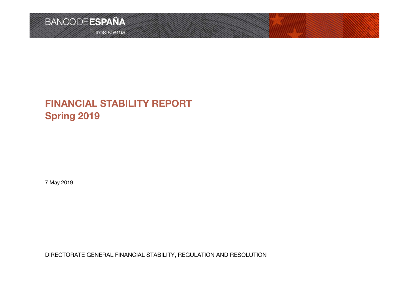## **FINANCIAL STABILITY REPORTSpring 2019**

7 May <sup>2019</sup>

DIRECTORATE GENERAL FINANCIAL STABILITY, REGULATION AND RESOLUTION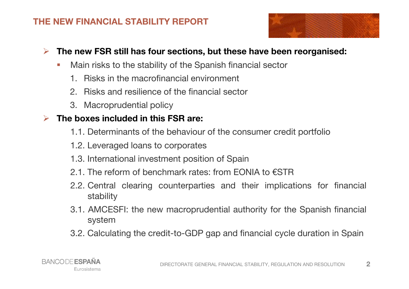#### **THE NEW FINANCIAL STABILITY REPORT**



#### $\blacktriangleright$ The new FSR still has four sections, but these have been reorganised:

- H. Main risks to the stability of the Spanish financial sector
	- 1. Risks in the macrofinancial environment
	- 2. Risks and resilience of the financial sector
	- 3. Macroprudential policy

## **The boxes included in this FSR are:**

- 1.1. Determinants of the behaviour of the consumer credit portfolio
- 1.2. Leveraged loans to corporates
- 1.3. International investment position of Spain
- 2.1. The reform of benchmark rates: from FONIA to  $\epsilon$ STR
- 2.2. Central clearing counterparties and their implications for financial stability
- 3.1. AMCESFI: the new macroprudential authority for the Spanish financial system
- 3.2. Calculating the credit-to-GDP gap and financial cycle duration in Spain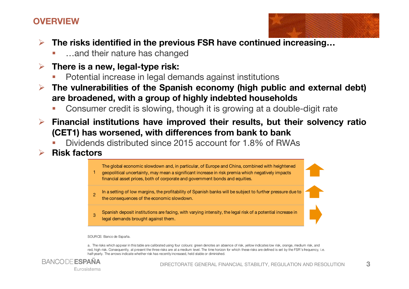#### **OVERVIEW**



**3**

- $\blacktriangleright$  **The risks identified in the previous FSR have continued increasing…**
	- П …and their nature has changed
- $\blacktriangleright$  **There is <sup>a</sup> new, legal-type risk:**
	- П Potential increase in legal demands against institutions
- $\blacktriangleright$  **The vulnerabilities of the Spanish economy (high public and external debt) are broadened, with <sup>a</sup> group of highly indebted households**
	- Consumer credit is slowing, though it is growing at <sup>a</sup> double-digit rateП
- $\blacktriangleright$  **Financial institutions have improved their results, but their solvency ratio (CET1) has worsened, with differences from bank to bank**
	- П Dividends distributed since <sup>2015</sup> account for 1.8% of RWAs
- $\blacktriangleright$ **Risk factors**

The global economic slowdown and, in particular, of Europe and China, combined with heightened

1geopolitical uncertainty, may mean a significant increase in risk premia which negatively impacts financial asset prices, both of corporate and government bonds and equities.

2In a setting of low margins, the profitability of Spanish banks will be subject to further pressure due to the consequences of the economic slowdown.

 Spanish deposit institutions are facing, with varying intensity, the legal risk of a potential increase in legal demands brought against them.

SOURCE: Banco de España.

3

a. The risks which appear in this table are calibrated using four colours: green denotes an absence of risk, yellow indicates low risk, orange, medium risk, and red, high risk. Consequently, at present the three risks are at a medium level. The time horizon for which these risks are defined is set by the FSR's frequency, i.e. half-yearly. The arrows indicate whether risk has recently increased, held stable or diminished.

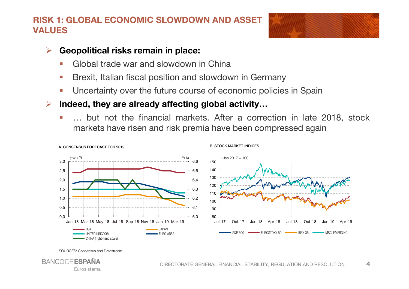#### **RISK 1: GLOBAL ECONOMIC SLOWDOWN AND ASSET VALUES**



**4**

#### $\blacktriangleright$ **Geopolitical risks remain in place:**

- L Global trade war and slowdown in China
- Brexit, Italian fiscal position and slowdown in Germany
- П Uncertainty over the future course of economic policies in Spain
- $\blacktriangleright$  **Indeed, they are already affecting global activity…**
	- … but not the financial markets. After <sup>a</sup> correction in late 2018, stockП markets have risen and risk premia have been compressed again



B STOCK MARKET INDICES

SOURCES: Consensus and Datastream.

A CONSENSUS FORECAST FOR 2019

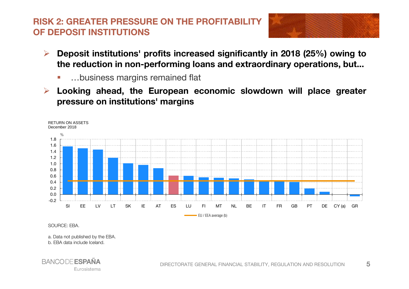## **RISK 2: GREATER PRESSURE ON THE PROFITABILITY OF DEPOSIT INSTITUTIONS**



- $\blacktriangleright$  **Deposit institutions' profits increased significantly in <sup>2018</sup> (25%) owing to the reduction in non-performing loans and extraordinary operations, but...**
	- $\mathcal{C}$ …business margins remained flat
- $\blacktriangleright$  **Looking ahead, the European economic slowdown will place greater pressure on institutions' margins**



SOURCE: EBA.

a. Data not published by the EBA.

b. EBA data include Iceland.

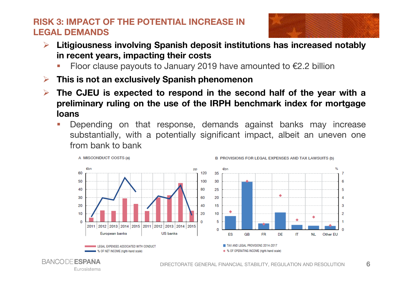## **RISK 3: IMPACT OF THE POTENTIAL INCREASE IN LEGAL DEMANDS**



- $\blacktriangleright$  **Litigiousness involving Spanish deposit institutions has increased notably in recent years, impacting their costs**
	- Floor clause payouts to January 2019 have amounted to €2.2 billion П
- $\triangleright$ **This is not an exclusively Spanish phenomenon**

Eurosistema

- $\blacktriangleright$ The CJEU is expected to respond in the second half of the year with a **preliminary ruling on the use of the IRPH benchmark index for mortgageloans**
	- Depending on that response, demands against banks may increas eH substantially, with <sup>a</sup> potentially significant impact, albeit an uneven onefrom bank to bank

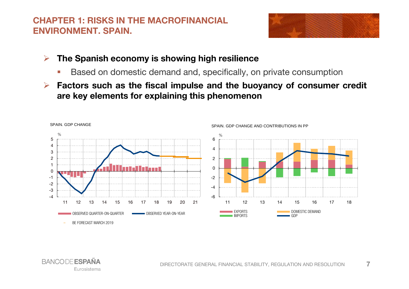#### **CHAPTER 1: RISKS IN THE MACROFINANCIAL ENVIRONMENT. SPAIN.**



**7**

- $\blacktriangleright$  **The Spanish economy is showing high resilience**
	- × **Based on domestic demand and, specifically, on private consumption**
- $\blacktriangleright$ Factors such as the fiscal impulse and the buoyancy of consumer credit **are key elements for explaining this phenomenon**



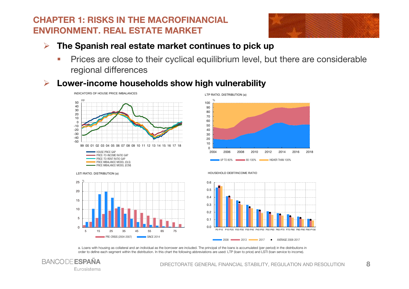#### **CHAPTER 1: RISKS IN THE MACROFINANCIAL ENVIRONMENT. REAL ESTATE MARKET**

<sup>5</sup> <sup>15</sup> <sup>25</sup> <sup>35</sup> <sup>45</sup> <sup>55</sup> <sup>65</sup> <sup>75</sup>

SINCE 2014

4 and the cerometer of the cerometer of the cerometer of the cerometer of the cerometer of the cerometer of the cerometer of the cerometer of the cerometer of the cerometer of the cerometer of the cerometer of the ceromete

**PRE-CRISIS (2004-2007)** 



**8**

- $\blacktriangleright$  **The Spanish real estate market continues to pick up**
	- b. Prices are close to their cyclical equilibrium level, but there are considerableregional differences
- $\blacktriangleright$ **Lower-income households show high vulnerability**







a. Loans with housing as collateral and an individual as the borrower are included. The principal of the loans is accumulated (per period) in the distributions in order to define each segment within the distribution. In this chart the following abbreviations are used: LTP (loan to price) and LSTI (loan service to income).



 $\Omega$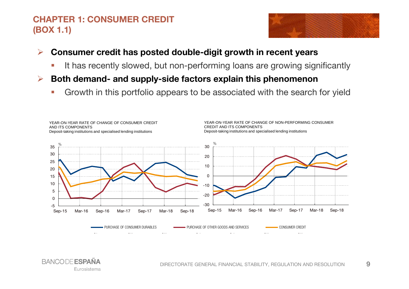## **CHAPTER 1: CONSUMER CREDIT (BOX 1.1)**



#### $\blacktriangleright$ **Consumer credit has posted double-digit growth in recent years**

- Ì. **It has recently slowed, but non-performing loans are growing significantly**
- $\blacktriangleright$  **Both demand- and supply-side factors explain this phenomenon**
	- Ŀ, Growth in this portfolio appears to be associated with the search for yield



**BANCODE ESPA** Eurosistema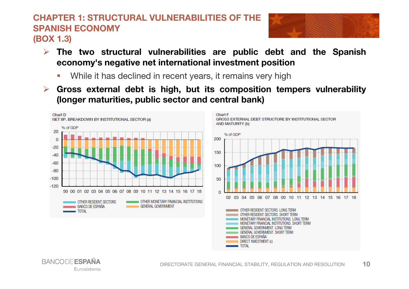#### **CHAPTER 1: STRUCTURAL VULNERABILITIES OF THE SPANISH ECONOMY(BOX 1.3)**

**BANCODE ESPAÑA** 

Eurosistema



- **The two structural vulnerabilities are public debt and the Spanish economy's negative net international investment position**
	- r. While it has declined in recent years, it remains very high
- $\blacktriangleright$  **Gross external debt is high, but its composition tempers vulnerability (longer maturities, public sector and central bank)**

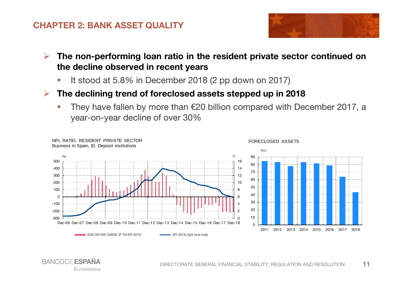#### **CHAPTER 2: BANK ASSET QUALITY**



- $\blacktriangleright$  **The non-performing loan ratio in the resident private sector continued on the decline observed in recent years**
	- L. It stood at 5.8% in December <sup>2018</sup> (2 pp down on 2017)
- $\blacktriangleright$  **The declining trend of foreclosed assets stepped up in <sup>2018</sup>**
	- h. They have fallen by more than €20 billion compared with December 2017, <sup>a</sup>year-on-year decline of over 30%



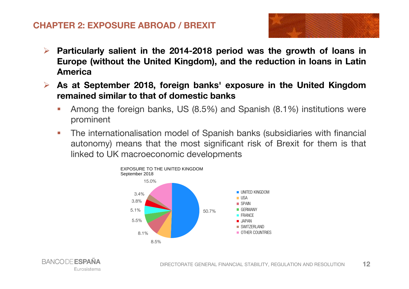#### **CHAPTER 2: EXPOSURE ABROAD / BREXIT**



- $\blacktriangleright$ Particularly salient in the 2014-2018 period was the growth of loans in Europe (without the United Kingdom), and the reduction in loans in Latin **America**
- $\blacktriangleright$  **As at September 2018, foreign banks' exposure in the United Kingdomremained similar to that of domestic banks**
	- n Among the foreign banks, US (8.5%) and Spanish (8.1%) institutions wereprominent
	- $\mathcal{L}$  The internationalisation model of Spanish banks (subsidiaries with financial autonomy) means that the most significant risk of Brexit for them is that linked to UK macroeconomic developments



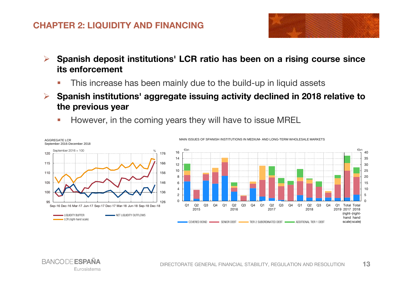#### **CHAPTER 2: LIQUIDITY AND FINANCING**



- $\blacktriangleright$ Spanish deposit institutions' LCR ratio has been on a rising course since **its enforcement**
	- n **This increase has been mainly due to the build-up in liquid assets**
- $\blacktriangleright$  **Spanish institutions' aggregate issuing activity declined in <sup>2018</sup> relative to the previous year**
	- $\mathcal{L}$ However, in the coming years they will have to issue MREL



MAIN ISSUES OF SPANISH INSTITUTIONS IN MEDIUM- AND LONG-TERM WHOLESALE MARKETS

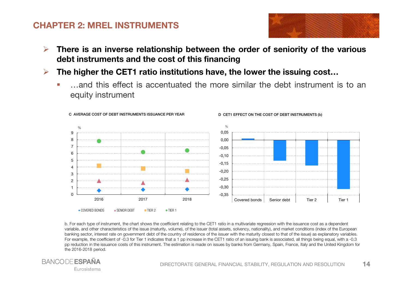#### **CHAPTER 2: MREL INSTRUMENTS**



- $\blacktriangleright$ There is an inverse relationship between the order of seniority of the various **debt instruments and the cost of this financing**
- $\blacktriangleright$ The higher the CET1 ratio institutions have, the lower the issuing cost...
	- …and this effect is accentuated the more similar the debt instrument is to anequity instrument



b. For each type of instrument, the chart shows the coefficient relating to the CET1 ratio in a multivariate regression with the issuance cost as a dependent variable, and other characteristics of the issue (maturity, volume), of the issuer (total assets, solvency, nationality), and market conditions (index of the European banking sector, interest rate on government debt of the country of residence of the issuer with the maturity closest to that of the issue) as explanatory variables. For example, the coefficient of -0.3 for Tier 1 indicates that a 1 pp increase in the CET1 ratio of an issuing bank is associated, all things being equal, with a -0.3 pp reduction in the issuance costs of this instrument. The estimation is made on issues by banks from Germany, Spain, France, Italy and the United Kingdom for the 2016-2018 period.

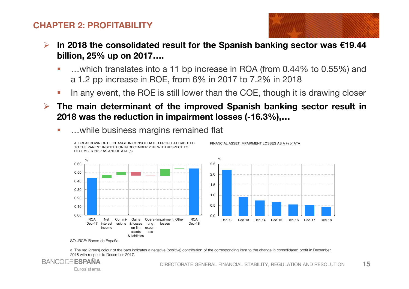#### **CHAPTER 2: PROFITABILITY**



- $\blacktriangleright$ In 2018 the consolidated result for the Spanish banking sector was  $£19.44$ **billion, 25% up on 2017….**
	- n …which translates into <sup>a</sup> <sup>11</sup> bp increase in ROA (from 0.44% to 0.55%) and<sup>a</sup> 1.2 pp increase in ROE, from 6% in <sup>2017</sup> to 7.2% in <sup>2018</sup>
	- L. In any event, the ROE is still lower than the COE, though it is drawing closer
- $\blacktriangleright$  **The main determinant of the improved Spanish banking sector result in <sup>2018</sup> was the reduction in impairment losses (-16.3%),…**
	- n …while business margins remained flat



FINANCIAL ASSET IMPAIRMENT LOSSES AS A % of ATA

a. The red (green) colour of the bars indicates a negative (positive) contribution of the corresponding item to the change in consolidated profit in December 2018 with respect to December 2017.



Eurosistema

SOURCE: Banco de España.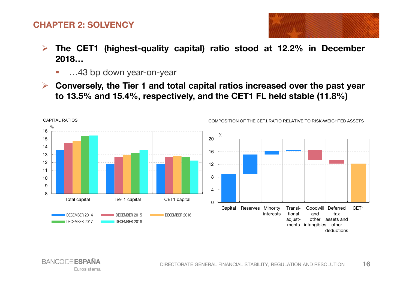#### **CHAPTER 2: SOLVENCY**



- $\blacktriangleright$  **The CET1 (highest-quality capital) ratio stood at 12.2% in December 2018…**
	- …43 bp down year-on-year ÷,
- $\blacktriangleright$ Conversely, the Tier 1 and total capital ratios increased over the past year to 13.5% and 15.4%, respectively, and the CET1 FL held stable (11.8%)

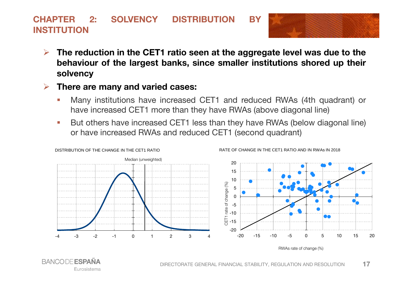#### **CHAPTER 2: SOLVENCY DISTRIBUTION BYINSTITUTION**



- $\blacktriangleright$ The reduction in the CET1 ratio seen at the aggregate level was due to the **behaviour of the largest banks, since smaller institutions shored up their solvency**
- $\blacktriangleright$  **There are many and varied cases:**
	- Ė Many institutions have increased CET1 and reduced RWAs (4th quadrant) or have increased CET1 more than they have RWAs (above diagonal line)
	- $\mathcal{C}$  But others have increased CET1 less than they have RWAs (below diagonal line) or have increased RWAs and reduced CET1 (second quadrant)

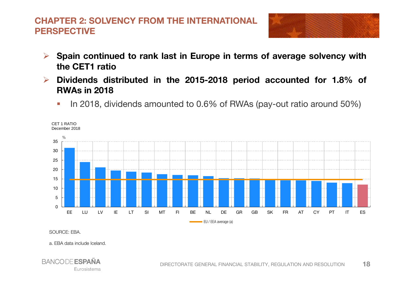## **CHAPTER 2: SOLVENCY FROM THE INTERNATIONAL PERSPECTIVE**



- $\blacktriangleright$ Spain continued to rank last in Europe in terms of average solvency with **the CET1 ratio**
- **Dividends distributed in the 2015-2018 period accounted for 1.8% of**  $\blacktriangleright$ **RWAs in <sup>2018</sup>**
	- Ŀ, In 2018, dividends amounted to 0.6% of RWAs (pay-out ratio around 50%)



SOURCE: EBA.

a. EBA data include Iceland.

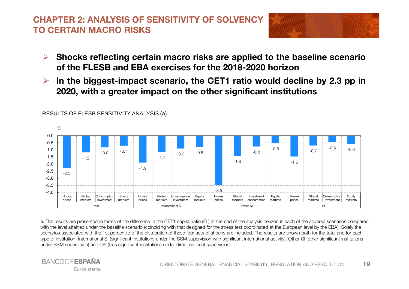## **CHAPTER 2: ANALYSIS OF SENSITIVITY OF SOLVENCY TO CERTAIN MACRO RISKS**



- $\blacktriangleright$  **Shocks reflecting certain macro risks are applied to the baseline scenario of the FLESB and EBA exercises for the 2018-2020 horizon**
- $\blacktriangleright$ In the biggest-impact scenario, the CET1 ratio would decline by 2.3 pp in **2020, with <sup>a</sup> greater impact on the other significant institutions**



#### RESULTS OF FLESB SENSITIVITY ANALYSIS (a)

a. The results are presented in terms of the difference in the CET1 capital ratio (FL) at the end of the analysis horizon in each of the adverse scenarios compared with the level attained under the baseline scenario (coinciding with that designed for the stress test coordinated at the European level by the EBA). Solely the scenarios associated with the 1st percentile of the distribution of these four sets of shocks are included. The results are shown both for the total and for each type of institution: International SI (significant institutions under the SSM supervision with significant international activity), Other SI (other significant institutions under SSM supervision) and LSI (less significant institutions under direct national supervision).

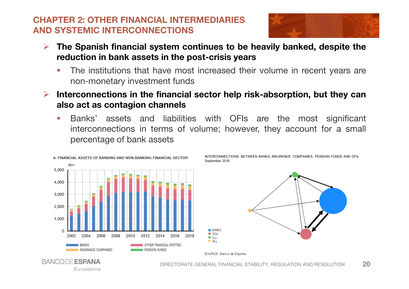#### **CHAPTER 2: OTHER FINANCIAL INTERMEDIARIES AND SYSTEMIC INTERCONNECTIONS**



- $\blacktriangleright$  **The Spanish financial system continues to be heavily banked, despite the reduction in bank assets in the post-crisis years**
	- Ē. The institutions that have most increased their volume in recent years arenon-monetary investment funds
- $\blacktriangleright$  **Interconnections in the financial sector help risk-absorption, but they can also act as contagion channels**
	- m. Banks' assets and liabilities with OFIs are the most significant interconnections in terms of volume; however, they account for <sup>a</sup> small percentage of bank assets

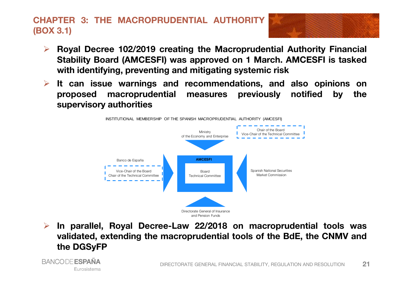## **CHAPTER 3: THE MACROPRUDENTIAL AUTHORITY(BOX 3.1)**

**BANCODE ESPAÑA** 

Eurosistema



- $\blacktriangleright$  **Royal Decree 102/2019 creating the Macroprudential Authority Financial Stability Board (AMCESFI) was approved on <sup>1</sup> March. AMCESFI is taskedwith identifying, preventing and mitigating systemic risk**
- **It can issue warnings and recommendations, and also opinions on proposed macroprudential measures previously notified by thesupervisory authorities**



 $\blacktriangleright$  **In parallel, Royal Decree-Law 22/2018 on macroprudential tools was validated, extending the macroprudential tools of the BdE, the CNMV andthe DGSyFP**

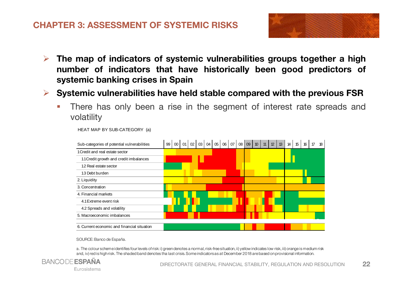#### **CHAPTER 3: ASSESSMENT OF SYSTEMIC RISKS**



- $\blacktriangleright$  **The map of indicators of systemic vulnerabilities groups together <sup>a</sup> high number of indicators that have historically been good predictors of systemic banking crises in Spain**
- $\blacktriangleright$  **Systemic vulnerabilities have held stable compared with the previous FSR**
	- $\mathbb{R}^2$  There has only been <sup>a</sup> rise in the segment of interest rate spreads andvolatility

| Sub-categories of potential vulnerabilities | 99 | $00\,$ | $01 \mid 02 \mid 03 \mid$ |  | 04 | $05$   06   07   08   09   10 |  |  | 11 | 12 | 13 | 14 | 15 | 16 | 17 | 18 |
|---------------------------------------------|----|--------|---------------------------|--|----|-------------------------------|--|--|----|----|----|----|----|----|----|----|
| 1 Credit and real estate sector             |    |        |                           |  |    |                               |  |  |    |    |    |    |    |    |    |    |
| 1.1 Credit growth and credit imbalances     |    |        |                           |  |    |                               |  |  |    |    |    |    |    |    |    |    |
| 1.2 Real estate sector                      |    |        |                           |  |    |                               |  |  |    |    |    |    |    |    |    |    |
| 1.3 Debt burden                             |    |        |                           |  |    |                               |  |  |    |    |    |    |    |    |    |    |
| 2. Liquidity                                |    |        |                           |  |    |                               |  |  |    |    |    |    |    |    |    |    |
| 3. Concentration                            |    |        |                           |  |    |                               |  |  |    |    |    |    |    |    |    |    |
| 4. Financial markets                        |    |        |                           |  |    |                               |  |  |    |    |    |    |    |    |    |    |
| 4.1 Extreme event risk                      |    |        |                           |  |    |                               |  |  |    |    |    |    |    |    |    |    |
| 4.2 Spreads and volatility                  |    |        |                           |  |    |                               |  |  |    |    |    |    |    |    |    |    |
| 5. Macroeconomic imbalances                 |    |        |                           |  |    |                               |  |  |    |    |    |    |    |    |    |    |
|                                             |    |        |                           |  |    |                               |  |  |    |    |    |    |    |    |    |    |
| 6. Current economic and financial situation |    |        |                           |  |    |                               |  |  |    |    |    |    |    |    |    |    |

HEAT MAP BY SUB-CATEGORY (a)

SOURCE: Banco de España.

a. The colour scheme identifies four levels of risk: i) green denotes a normal, risk-free situation, ii) yellow indicates low risk, iii) orange is medium risk and, iv) red is high risk. The shaded band denotes tha last crisis. Some indicators as at December 2018 are based on provisional information.

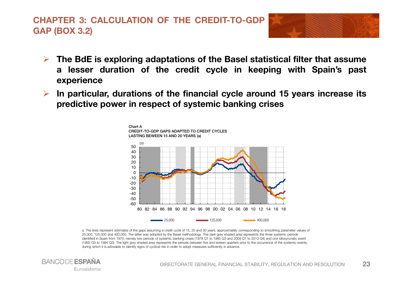## **CHAPTER 3: CALCULATION OF THE CREDIT-TO-GDPGAP (BOX 3.2)**



- The BdE is exploring adaptations of the Basel statistical filter that assume **<sup>a</sup> lesser duration of the credit cycle in keeping with Spain's past experience**
- $\blacktriangleright$ In particular, durations of the financial cycle around 15 years increase its **predictive power in respect of systemic banking crises**



a. The lines represent estimates of the gaps assuming a credit cycle of 15, 20 and 30 years, approximately corresponding to smoothing parameter values of25,000, 125,000 and 400,000. The latter was adopted by the Basel methodology. The dark grey shaded area represents the three systemic periods identified in Spain from 1970, namely two periods of systemic banking crises (1978 Q1 to 1985 Q3 and 2009 Q1 to 2013 Q4) and one idiosyncratic event (1993 Q3 to 1994 Q3). The light grey shaded area represents the periods between five and sixteen quarters prior to the occurrence of the systemic events,during which it is advisable to identify signs of cyclical risk in order to adopt measures sufficiently in advance.

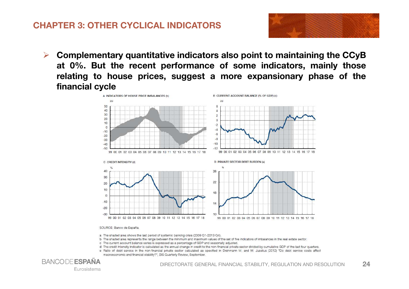#### **CHAPTER 3: OTHER CYCLICAL INDICATORS**



 $\blacktriangleright$  **Complementary quantitative indicators also point to maintaining the CCyB at 0%. But the recent performance of some indicators, mainly those relating to house prices, suggest <sup>a</sup> more expansionary phase of the** financial cycle



#### SOURCE: Banco de España.

- a The shaded area shows the last period of systemic banking crisis (2009 Q1-2013 Q4).
- b The shaded area represents the range between the minimum and maximum values of the set of five indicators of imbalances in the real estate sector.
- c The current account balance series is expressed as a percentage of GDP and seasonally adjusted.
- d The credit intensity indicator is calculated as the annual change in credit to the non-financial private sector divided by cumulative GDP of the last four quarters.
- e Ratio of debt service in the non-financial private sector calculated as specified in Drehmann M. and M. Juselius (2012) "Do debt service costs affect macroeconomic and financial stability?", BIS Quarterly Review, September.

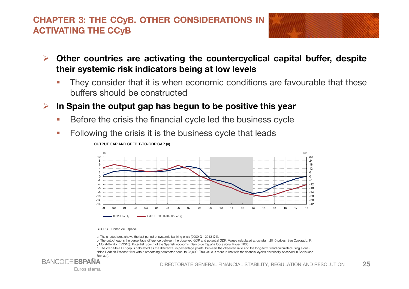#### **CHAPTER 3: THE CCyB. OTHER CONSIDERATIONS INACTIVATING THE CCyB**



- $\blacktriangleright$  **Other countries are activating the countercyclical capital buffer, despite their systemic risk indicators being at low levels**
	- П They consider that it is when economic conditions are favourable that thesebuffers should be constructed
- $\blacktriangleright$  **In Spain the output gap has begun to be positive this year**
	- $\mathcal{C}$ Before the crisis the financial cycle led the business cycle
	- × Following the crisis it is the business cycle that leads



OUTPUT GAP AND CREDIT-TO-GDP GAP (a)

SOURCE: Banco de España.

- a. The shaded area shows the last period of systemic banking crisis (2009 Q1-2013 Q4).
- b. The output gap is the percentage difference between the observed GDP and potential GDP. Values calculated at constant 2010 prices. See Cuadrado, P. y Moral-Benito, E (2016). Potential growth of the Spanish economy. Banco de España Occasional Paper 1603.
- c. The credit-to-GDP gap is calculated as the difference, in percentage points, between the observed ratio and the long-term trend calculated using a one sided Hodrick-Prescott filter with a smoothing parameter equal to 25,000. This value is more in line with the financial cycles historically observed in Spain (see Box 3.1).